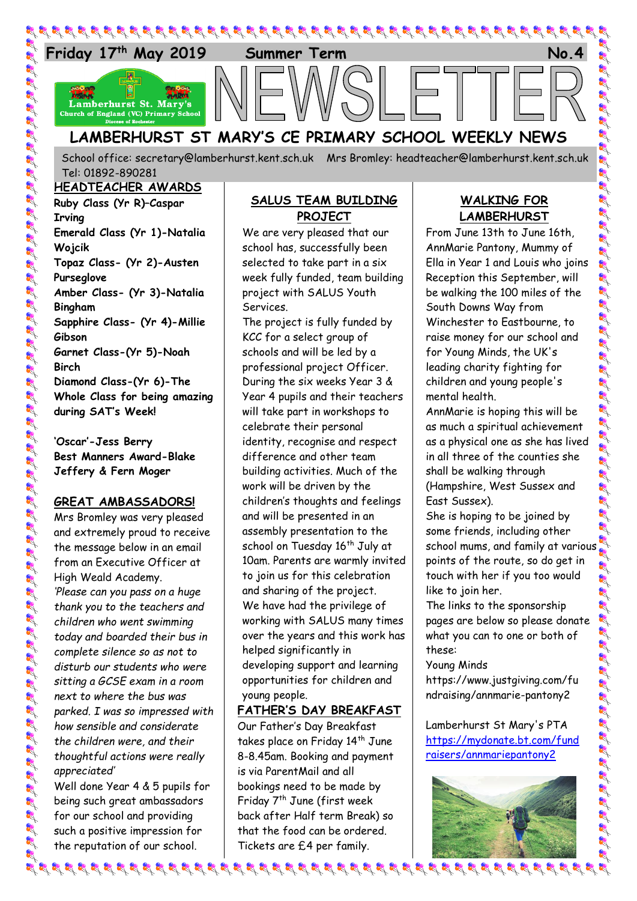

## **LAMBERHURST ST MARY'S CE PRIMARY SCHOOL WEEKLY NEWS**

School office: [secretary@lamberhurst.kent.sch.uk](mailto:secretary@lamberhurst.kent.sch.uk) Mrs Bromley: headteacher@lamberhurst.kent.sch.uk Tel: 01892-890281

#### **HEADTEACHER AWARDS**

**Ruby Class (Yr R)–Caspar Irving Emerald Class (Yr 1)-Natalia Wojcik Topaz Class- (Yr 2)-Austen Purseglove Amber Class- (Yr 3)-Natalia Bingham Sapphire Class- (Yr 4)-Millie Gibson Garnet Class-(Yr 5)-Noah Birch Diamond Class-(Yr 6)-The Whole Class for being amazing during SAT's Week!**

**'Oscar'-Jess Berry Best Manners Award-Blake Jeffery & Fern Moger**

#### **GREAT AMBASSADORS!**

Mrs Bromley was very pleased and extremely proud to receive the message below in an email from an Executive Officer at High Weald Academy. *'Please can you pass on a huge thank you to the teachers and children who went swimming today and boarded their bus in complete silence so as not to disturb our students who were sitting a GCSE exam in a room next to where the bus was parked. I was so impressed with how sensible and considerate the children were, and their thoughtful actions were really appreciated'*

Well done Year 4 & 5 pupils for being such great ambassadors for our school and providing such a positive impression for the reputation of our school.

#### **SALUS TEAM BUILDING PROJECT**

We are very pleased that our school has, successfully been selected to take part in a six week fully funded, team building project with SALUS Youth Services.

The project is fully funded by KCC for a select group of schools and will be led by a professional project Officer. During the six weeks Year 3 & Year 4 pupils and their teachers will take part in workshops to celebrate their personal identity, recognise and respect difference and other team building activities. Much of the work will be driven by the children's thoughts and feelings and will be presented in an assembly presentation to the school on Tuesday 16<sup>th</sup> July at 10am. Parents are warmly invited to join us for this celebration and sharing of the project. We have had the privilege of working with SALUS many times over the years and this work has helped significantly in developing support and learning opportunities for children and young people.

#### **FATHER'S DAY BREAKFAST**

Our Father's Day Breakfast takes place on Friday 14th June 8-8.45am. Booking and payment is via ParentMail and all bookings need to be made by Friday 7<sup>th</sup> June (first week back after Half term Break) so that the food can be ordered. Tickets are £4 per family.

### **WALKING FOR LAMBERHURST**

A A A A A A A

في المحال المحال المحال المحال المحال المحال المحال المحال المحال المحال المحال المحال المحال المحال

はんだんき

of of a

**R** 

at at at at at at at at at at at at at

From June 13th to June 16th, AnnMarie Pantony, Mummy of Ella in Year 1 and Louis who joins Reception this September, will be walking the 100 miles of the South Downs Way from Winchester to Eastbourne, to raise money for our school and for Young Minds, the UK's leading charity fighting for children and young people's mental health.

AnnMarie is hoping this will be as much a spiritual achievement as a physical one as she has lived in all three of the counties she shall be walking through (Hampshire, West Sussex and East Sussex).

She is hoping to be joined by some friends, including other school mums, and family at various points of the route, so do get in touch with her if you too would like to join her.

The links to the sponsorship pages are below so please donate what you can to one or both of these:

#### Young Minds

https://www.justgiving.com/fu ndraising/annmarie-pantony2

Lamberhurst St Mary's PTA [https://mydonate.bt.com/fund](https://mydonate.bt.com/fundraisers/annmariepantony2) [raisers/annmariepantony2](https://mydonate.bt.com/fundraisers/annmariepantony2)

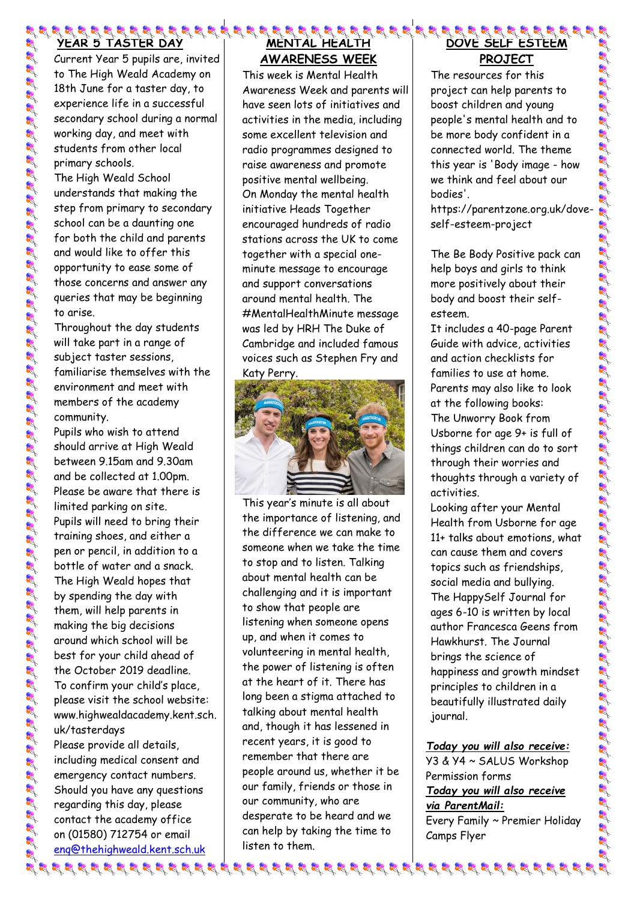# **YEAR 5 TASTER DAY**

Current Year 5 pupils are, invited to The High Weald Academy on 18th June for a taster day, to experience life in a successful secondary school during a normal working day, and meet with students from other local primary schools. The High Weald School

understands that making the step from primary to secondary school can be a daunting one for both the child and parents and would like to offer this opportunity to ease some of those concerns and answer any queries that may be beginning to arise.

Throughout the day students will take part in a range of subject taster sessions, familiarise themselves with the environment and meet with members of the academy community.

Pupils who wish to attend should arrive at High Weald between 9.15am and 9.30am and be collected at 1.00pm. Please be aware that there is limited parking on site. Pupils will need to bring their training shoes, and either a pen or pencil, in addition to a bottle of water and a snack. The High Weald hopes that by spending the day with them, will help parents in making the big decisions around which school will be best for your child ahead of the October 2019 deadline. To confirm your child's place, please visit the school website: www.highwealdacademy.kent.sch. uk/tasterdays Please provide all details,

including medical consent and emergency contact numbers. Should you have any questions regarding this day, please contact the academy office on (01580) 712754 or email [enq@thehighweald.kent.sch.uk](mailto:enq@thehighweald.kent.sch.uk)

## **MENTAL HEALTH AWARENESS WEEK**

This week is Mental Health Awareness Week and parents will have seen lots of initiatives and activities in the media, including some excellent television and radio programmes designed to raise awareness and promote positive mental wellbeing. On Monday the mental health initiative Heads Together encouraged hundreds of radio stations across the UK to come together with a special oneminute message to encourage and support conversations around mental health. The #MentalHealthMinute message was led by HRH The Duke of Cambridge and included famous voices such as Stephen Fry and Katy Perry.



This year's minute is all about the importance of listening, and the difference we can make to someone when we take the time to stop and to listen. Talking about mental health can be challenging and it is important to show that people are listening when someone opens up, and when it comes to volunteering in mental health, the power of listening is often at the heart of it. There has long been a stigma attached to talking about mental health and, though it has lessened in recent years, it is good to remember that there are people around us, whether it be our family, friends or those in our community, who are desperate to be heard and we can help by taking the time to listen to them.

## **DOVE SELF ESTEEM PROJECT**

The resources for this project can help parents to boost children and young people's mental health and to be more body confident in a connected world. The theme this year is 'Body image - how we think and feel about our bodies'.

https://parentzone.org.uk/doveself-esteem-project

The Be Body Positive pack can help boys and girls to think more positively about their body and boost their selfesteem.

It includes a 40-page Parent Guide with advice, activities and action checklists for families to use at home. Parents may also like to look at the following books: The Unworry Book from Usborne for age 9+ is full of things children can do to sort through their worries and thoughts through a variety of activities.

Looking after your Mental Health from Usborne for age 11+ talks about emotions, what can cause them and covers topics such as friendships, social media and bullying. The HappySelf Journal for ages 6-10 is written by local author Francesca Geens from Hawkhurst. The Journal brings the science of happiness and growth mindset principles to children in a beautifully illustrated daily journal.

*Today you will also receive:* Y3 & Y4 ~ SALUS Workshop Permission forms *Today you will also receive via ParentMail:* Every Family ~ Premier Holiday Camps Flyer